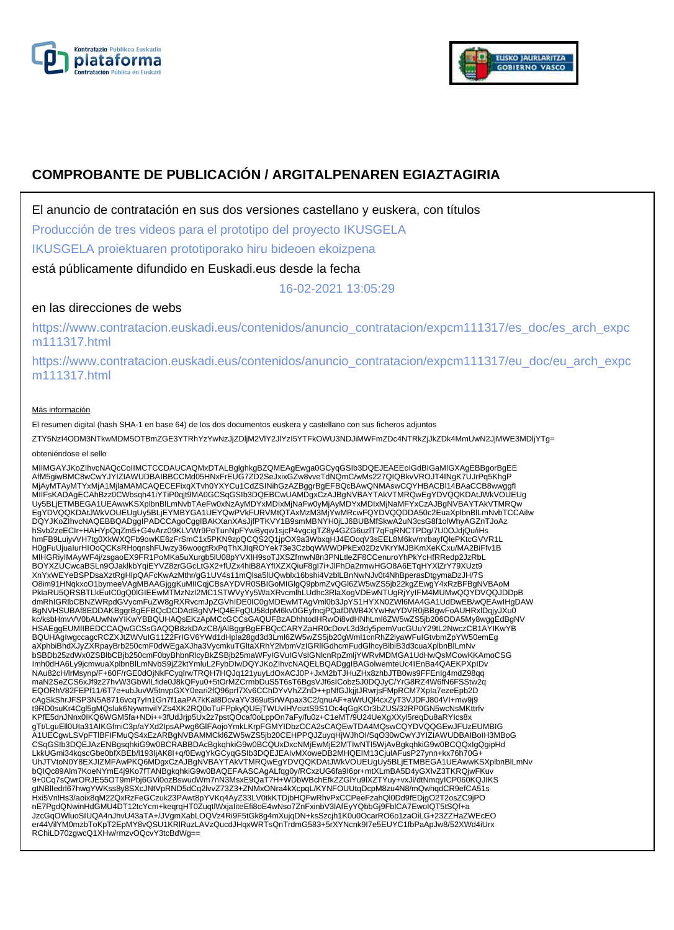



# **COMPROBANTE DE PUBLICACIÓN / ARGITALPENAREN EGIAZTAGIRIA**

El anuncio de contratación en sus dos versiones castellano y euskera, con títulos

Producción de tres videos para el prototipo del proyecto IKUSGELA

IKUSGELA proiektuaren prototiporako hiru bideoen ekoizpena

está públicamente difundido en Euskadi.eus desde la fecha

16-02-2021 13:05:29

## en las direcciones de webs

https://www.contratacion.euskadi.eus/contenidos/anuncio\_contratacion/expcm111317/es\_doc/es\_arch\_expc m111317.html

https://www.contratacion.euskadi.eus/contenidos/anuncio\_contratacion/expcm111317/eu\_doc/eu\_arch\_expc m111317.html

### Más información

El resumen digital (hash SHA-1 en base 64) de los dos documentos euskera y castellano con sus ficheros adjuntos

ZTY5NzI4ODM3NTkwMDM5OTBmZGE3YTRhYzYwNzJjZDljM2VlY2JlYzI5YTFkOWU3NDJiMWFmZDc4NTRkZjJkZDk4MmUwN2JjMWE3MDljYTg=

#### obteniéndose el sello

MIIMGAYJKoZIhvcNAQcCoIIMCTCCDAUCAQMxDTALBglghkgBZQMEAgEwga0GCyqGSIb3DQEJEAEEoIGdBIGaMIGXAgEBBgorBgEE AfM5giwBMC8wCwYJYIZIAWUDBAIBBCCMd05HNxFrEUG7ZD2SeJxixGZw8vveTdNQmC/wMs227QIQBkvVROJT4INgK7UJrPq5KhgP MjAyMTAyMTYxMjA1MjlaMAMCAQECEFixqXTvh0YXYCu1CdZSINihGzAZBggrBgEFBQcBAwQNMAswCQYHBACBl14BAaCCB8wwggfI MIIFsKADAgECAhBzz0CWbsqh41iYTiP0qjt9MA0GCSqGSIb3DQEBCwUAMDgxCzAJBgNVBAYTAkVTMRQwEgYDVQQKDAtJWkVOUEUg Uy5BLjETMBEGA1UEAwwKSXplbnBlLmNvbTAeFw0xNzAyMDYxMDIxMjNaFw0yMjAyMDYxMDIxMjNaMFYxCzAJBgNVBAYTAkVTMRQw<br>EgYDVQQKDAtJWkVOUEUgUy5BLjEYMBYGA1UEYQwPVkFURVMtQTAxMzM3MjYwMRcwFQYDVQQDDA50c2EuaXplbnBlLmNvbTCCAiIw DQYJKoZIhvcNAQEBBQADggIPADCCAgoCggIBAKXanXAsJjfPTKVY1B9smMBNYH0jLJ6BUBMfSkwA2uN3csG8f1olWhyAGZnTJoAz<br>hSvb2zeECIr+HAHYpQqZm5+G4vArz09KLVWr9PeTunNpFYwByqw1sjcP4vgcigTZ8y4GZG6uzlT7qFqRNCTPDg/7U0OJdjQu/iHs hmFB9LuiyvVH7tg0XkWXQFb9owKE6zFrSmC1x5PKN9zpQCQS2Q1jpOX9a3WbxqHJ4EOoqV3sEEL8M6kv/mrbayfQlePKtcGVVR1L H0gFuUjuaIurHIOoQCKsRHoqnshFUwzy36woogtRxPqThXJIqROYek73e3CzbqWWWDPkEx02DzVKrYMJBKmXeKCxu/MA2BiFfv1B MlHGRiyIMAyWF4j/zsgaoEX9FR1PoMKa5uXurgb5lU08pYVXlH9soTJXSZfmwN8n3PNLtleZF8CCenuroYhPkYcHfRRedp2JzRbL BOYXZUCwcaBSLn9OJaklkbYqiEYVZ8zrGGcLtGX2+fUZx4hiB8AYfIXZXQiuF8gl7i+JlFhDa2rmwHGO8A6ETqHYXlZrY79XUzt9 XnYxWEYeBSPDsaXztRgHlpQAFcKwAzMthr/gG1UV4s11mQlsa5lUQwblx16bshi4VzblLBnNwNJv0t4NhBperasDtgymaDzJH/7S<br>O8im91HNqkxcO1bymeeVAgMBAAGjggKuMIICqjCBsAYDVR0SBIGoMIGlgQ9pbmZvQGl6ZW5wZS5jb22kgZEwgY4xRzBFBgNVBAoM PklaRU5QRSBTLkEuIC0gQ0lGIEEwMTMzNzI2MC1STWVyYy5WaXRvcmlhLUdhc3RlaXogVDEwNTUgRjYyIFM4MUMwQQYDVQQJDDpB dmRhIGRlbCBNZWRpdGVycmFuZW8gRXRvcmJpZGVhIDE0IC0gMDEwMTAgVml0b3JpYS1HYXN0ZWl6MA4GA1UdDwEB/wQEAwIHgDAW BgNVHSUBAf8EDDAKBggrBgEFBQcDCDAdBgNVHQ4EFgQU58dpM6kv0GEyfncjPQafDIWB4XYwHwYDVR0jBBgwFoAUHRxlDqjyJXu0<br>kc/ksbHmvVV0bAUwNwYIKwYBBQUHAQsEKzApMCcGCCsGAQUFBzADhhtodHRwOi8vdHNhLml6ZW5wZS5jb206ODA5My8wggEdBgNV HSAEggEUMIIBEDCCAQwGCSsGAQQB8zkDAzCB/jAlBggrBgEFBQcCARYZaHR0cDovL3d3dy5pemVucGUuY29tL2NwczCB1AYIKwYB BQUHAgIwgccagcRCZXJtZWVuIG11Z2FrIGV6YWd1dHpla28gd3d3Lml6ZW5wZS5jb20gWml1cnRhZ2lyaWFuIGtvbmZpYW50emEg aXphbiBhdXJyZXRpayBrb250cmF0dWEgaXJha3VycmkuTGltaXRhY2lvbmVzIGRIIGdhcmFudGlhcyBlbiB3d3cuaXplbnBlLmNv<br>bSBDb25zdWx0ZSBlbCBjb250cmF0byBhbnRlcyBkZSBjb25maWFyIGVuIGVsIGNlcnRpZmljYWRvMDMGA1UdHwQsMCowKKAmoCSG Imh0dHA6Ly9jcmwuaXplbnBlLmNvbS9jZ2ktYmluL2FybDIwDQYJKoZIhvcNAQELBQADggIBAGolwemteUc4IEnBa4QAEKPXpIDv NAu82cH/lrMsynp/F+60F/rGE0dOjNkFCyqlrwTRQH7HQJq121yuyLdOxACJ0P+JxM2bTJHuZHx8zhbJTB0ws9FFEnIg4mdZ98qq maN2SeZCS6xJf9z27hvW3GbWlLfide0J8kQFyu0+5tOrMZCrmbDuS5T6sT6BgsVJf6sICobz5J0DQJyC/YrG8RZ4W6fN6FSStw2q EQORhV82FEPf11/6T7e+ubJuvW5tnvpGXY0eari2fQ96prf7Xv6CChDYvVhZZnD++pNfGJkjjtJRwrjsFMpRCM7XpIa7ezeEpb2D cAgSkShrJFSP3N5A8716vcq7yIn1Gn7f1aaPA7kKaI8DcvaYV369ut5rWApax3C2/qnuAF+aWrUQl4cxZyT3VJDFJ804VI+mw9j9 t9RD0suKr4Cgl5gMQsluk6NywmviIYZs4XK2RQ0oTuFPpkyQUEjTWUvIHVciztS9S1Oc4qGgKOr3bZUS/32RP0GN5wcNsMKttrfv<br>KPfE5dnJNnx0IKQ6WGM5fa+NDi++3fUdJrjp5Ux2z7pstQOcaf0oLppOn7aFy/fu0z+C1eMT/9U24UeXgXXyl5reqDu8aRYIcs8x<br>gTt/LguEll0Ula31AIKG A1UECgwLSVpFTlBFIFMuQS4xEzARBgNVBAMMCkl6ZW5wZS5jb20CEHPPQJZuyqHjWJhOI/SqO30wCwYJYIZIAWUDBAIBoIH3MBoG CSqGSIb3DQEJAzENBgsqhkiG9w0BCRABBDAcBgkqhkiG9w0BCQUxDxcNMjEwMjE2MTIwNTI5WjAvBgkqhkiG9w0BCQQxIgQgipHd LkkUGmi34kqscGbe0bfXBEb/l193IjAK8I+q/0EwgYkGCyqGSIb3DQEJEAIvMXoweDB2MHQEIM13CjulAFusP27ynn+kx76h70G+ UhJTVtoN0Y8EXJIZMFAwPKQ6MDgxCzAJBgNVBAYTAkVTMRQwEgYDVQQKDAtJWkVOUEUgUy5BLjETMBEGA1UEAwwKSXplbnBlLmNv bQIQc89Alm7KoeNYmE4j9Ko7fTANBgkqhkiG9w0BAQEFAASCAgALfqg0y/RCxzUG6fa9l6pr+mtXLmBA5D4yGXlvZ3TKRQjwFKuv<br>9+0Cq7sQwrORJE55OT9mPbj6GVi0ozBswudWm7nN3MsxE9QaT7H+WDbWBchEfkZZGIYu9lXZTYuy+vxJl/dtNmqyICP060KQJIKS gtNBlledrl67hwgYWKss8y8SXcJNtVpRND5dCq2lvvZ73Z3+ZNMxONra4kXcpqL/KYNFOUUtqDcpM8zu4N8/mQwhqdCR9efCA51s<br>Hxi5VnlHs3/aoix8qM22QxRzFeGCzuk23PAwt8pYVKq4AyZ33LV0tkKTDjbHQFwRhvPxCCPeeFzahQl0Dd9fEDjgO2T2osZC9jPO nE7PgdQNwinHdGMU4DT12tcYcm+keqrqHT0ZuqtlWxjaIiteEfi8oE4wNso7ZnFxinbV3lAfEyYQbbGj9FblCA7EwoIQT5tSQf+a JzcGqOWluoSIUQA4nJhvU43aTA+/JVgmXabLOQVz4Ri9F5tGk8g4mXujqDN+ksSzcjh1K0u0OcarRO6o1zaOiLG+23ZZHaZWEcEO er44VilYM0mzbToKpT2EpMY8vQSU1KRlRuzLAVzQucdJHqxWRTsQnTrdmG583+5rXYNcnk9I7e5EUYC1fbPaApJw8/52XWd4iUrx RChiLD70zgwcQ1XHw/rmzvOQcvY3tcBdWg==